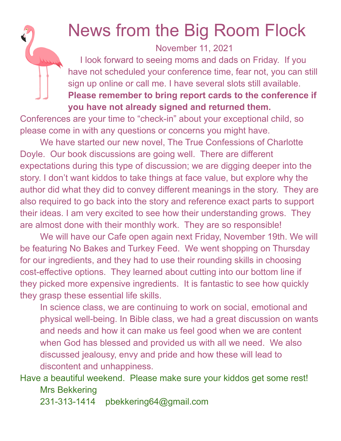## News from the Big Room Flock

November 11, 2021

I look forward to seeing moms and dads on Friday. If you have not scheduled your conference time, fear not, you can still sign up online or call me. I have several slots still available. **Please remember to bring report cards to the conference if**

## **you have not already signed and returned them.**

Conferences are your time to "check-in" about your exceptional child, so please come in with any questions or concerns you might have.

We have started our new novel, The True Confessions of Charlotte Doyle. Our book discussions are going well. There are different expectations during this type of discussion; we are digging deeper into the story. I don't want kiddos to take things at face value, but explore why the author did what they did to convey different meanings in the story. They are also required to go back into the story and reference exact parts to support their ideas. I am very excited to see how their understanding grows. They are almost done with their monthly work. They are so responsible!

We will have our Cafe open again next Friday, November 19th. We will be featuring No Bakes and Turkey Feed. We went shopping on Thursday for our ingredients, and they had to use their rounding skills in choosing cost-effective options. They learned about cutting into our bottom line if they picked more expensive ingredients. It is fantastic to see how quickly they grasp these essential life skills.

In science class, we are continuing to work on social, emotional and physical well-being. In Bible class, we had a great discussion on wants and needs and how it can make us feel good when we are content when God has blessed and provided us with all we need. We also discussed jealousy, envy and pride and how these will lead to discontent and unhappiness.

## Have a beautiful weekend. Please make sure your kiddos get some rest! Mrs Bekkering

231-313-1414 pbekkering64@gmail.com